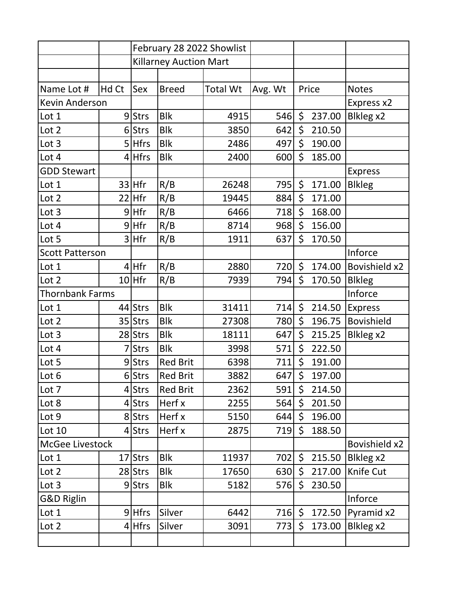|                        |       | February 28 2022 Showlist     |                 |                 |         |         |        |                      |
|------------------------|-------|-------------------------------|-----------------|-----------------|---------|---------|--------|----------------------|
|                        |       | <b>Killarney Auction Mart</b> |                 |                 |         |         |        |                      |
|                        |       |                               |                 |                 |         |         |        |                      |
| Name Lot #             | Hd Ct | Sex                           | <b>Breed</b>    | <b>Total Wt</b> | Avg. Wt |         | Price  | <b>Notes</b>         |
| <b>Kevin Anderson</b>  |       |                               |                 |                 |         |         |        | Express x2           |
| Lot 1                  |       | 9Strs                         | <b>Blk</b>      | 4915            | 546     | \$      | 237.00 | Blkleg x2            |
| Lot 2                  |       | 6 Strs                        | <b>Blk</b>      | 3850            | 642     | \$      | 210.50 |                      |
| Lot 3                  | 5     | <b>Hfrs</b>                   | <b>Blk</b>      | 2486            | 497     | \$      | 190.00 |                      |
| Lot 4                  |       | $4$ Hfrs                      | <b>Blk</b>      | 2400            | 600     | \$      | 185.00 |                      |
| <b>GDD Stewart</b>     |       |                               |                 |                 |         |         |        | <b>Express</b>       |
| Lot 1                  |       | $33$ Hfr                      | R/B             | 26248           | 795     | \$      | 171.00 | <b>Blkleg</b>        |
| Lot 2                  |       | $22$ Hfr                      | R/B             | 19445           | 884     | \$      | 171.00 |                      |
| Lot 3                  |       | $9$ Hfr                       | R/B             | 6466            | 718     | \$      | 168.00 |                      |
| Lot 4                  |       | $9$ Hfr                       | R/B             | 8714            | 968     | \$      | 156.00 |                      |
| Lot 5                  |       | $3$ Hfr                       | R/B             | 1911            | 637     | \$      | 170.50 |                      |
| <b>Scott Patterson</b> |       |                               |                 |                 |         |         |        | Inforce              |
| Lot 1                  |       | $4$ Hfr                       | R/B             | 2880            | 720     | $\zeta$ | 174.00 | <b>Bovishield x2</b> |
| Lot 2                  |       | $10$ Hfr                      | R/B             | 7939            | 794     | \$      | 170.50 | <b>Blkleg</b>        |
| <b>Thornbank Farms</b> |       |                               |                 |                 |         |         |        | Inforce              |
| Lot 1                  |       | 44 Strs                       | <b>Blk</b>      | 31411           | 714     | \$      | 214.50 | <b>Express</b>       |
| Lot 2                  |       | 35 Strs                       | <b>Blk</b>      | 27308           | 780     | \$      | 196.75 | <b>Bovishield</b>    |
| Lot 3                  |       | 28 Strs                       | <b>Blk</b>      | 18111           | 647     | \$      | 215.25 | Blkleg x2            |
| Lot 4                  |       | <b>Strs</b>                   | <b>Blk</b>      | 3998            | 571     | \$      | 222.50 |                      |
| Lot 5                  |       | 9Strs                         | <b>Red Brit</b> | 6398            | 711     | \$      | 191.00 |                      |
| Lot 6                  |       | $6$ Strs                      | <b>Red Brit</b> | 3882            | 647     | \$      | 197.00 |                      |
| Lot 7                  |       | 4 Strs                        | <b>Red Brit</b> | 2362            | 591     | \$      | 214.50 |                      |
| Lot 8                  |       | 4 Strs                        | Herf x          | 2255            | 564     | \$      | 201.50 |                      |
| Lot 9                  |       | 8 Strs                        | Herf x          | 5150            | 644     | \$      | 196.00 |                      |
| Lot 10                 |       | 4 Strs                        | Herf x          | 2875            | 719     | \$      | 188.50 |                      |
| McGee Livestock        |       |                               |                 |                 |         |         |        | Bovishield x2        |
| Lot 1                  |       | 17 Strs                       | <b>Blk</b>      | 11937           | 702     | \$      | 215.50 | Blkleg x2            |
| Lot 2                  |       | 28 Strs                       | <b>Blk</b>      | 17650           | 630     | \$      | 217.00 | Knife Cut            |
| Lot 3                  |       | 9Strs                         | <b>Blk</b>      | 5182            | 576     | \$      | 230.50 |                      |
| <b>G&amp;D Riglin</b>  |       |                               |                 |                 |         |         |        | Inforce              |
| Lot 1                  |       | $9$ Hfrs                      | Silver          | 6442            | 716     | \$      | 172.50 | Pyramid x2           |
| Lot 2                  |       | $4$ Hfrs                      | Silver          | 3091            | 773     | \$      | 173.00 | Blkleg x2            |
|                        |       |                               |                 |                 |         |         |        |                      |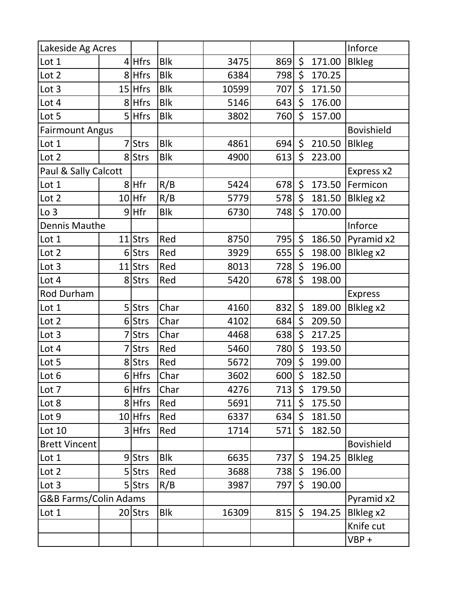| Lakeside Ag Acres      |                                  |             |            |       |     |                |        | Inforce           |
|------------------------|----------------------------------|-------------|------------|-------|-----|----------------|--------|-------------------|
| Lot 1                  |                                  | $4$ Hfrs    | <b>Blk</b> | 3475  | 869 | $\zeta$        | 171.00 | <b>Blkleg</b>     |
| Lot 2                  |                                  | 8 Hfrs      | <b>Blk</b> | 6384  | 798 | \$             | 170.25 |                   |
| Lot 3                  |                                  | $15$ Hfrs   | <b>Blk</b> | 10599 | 707 | \$             | 171.50 |                   |
| Lot 4                  |                                  | 8 Hfrs      | <b>Blk</b> | 5146  | 643 | \$             | 176.00 |                   |
| Lot 5                  |                                  | $5$ Hfrs    | <b>Blk</b> | 3802  | 760 | \$             | 157.00 |                   |
| <b>Fairmount Angus</b> |                                  |             |            |       |     |                |        | <b>Bovishield</b> |
| Lot 1                  |                                  | <b>Strs</b> | <b>Blk</b> | 4861  | 694 | \$             | 210.50 | <b>Blkleg</b>     |
| Lot 2                  |                                  | 8 Strs      | <b>Blk</b> | 4900  | 613 | \$             | 223.00 |                   |
| Paul & Sally Calcott   |                                  |             |            |       |     |                |        | Express x2        |
| Lot 1                  |                                  | 8 Hfr       | R/B        | 5424  | 678 | \$             | 173.50 | Fermicon          |
| Lot 2                  |                                  | $10$ Hfr    | R/B        | 5779  | 578 | \$             | 181.50 | Blkleg x2         |
| Lo <sub>3</sub>        |                                  | $9$ Hfr     | <b>Blk</b> | 6730  | 748 | \$             | 170.00 |                   |
| <b>Dennis Mauthe</b>   |                                  |             |            |       |     |                |        | Inforce           |
| Lot 1                  |                                  | $11$ Strs   | Red        | 8750  | 795 | \$             | 186.50 | Pyramid x2        |
| Lot 2                  |                                  | 6 Strs      | Red        | 3929  | 655 | \$             | 198.00 | Blkleg x2         |
| Lot 3                  |                                  | 11 Strs     | Red        | 8013  | 728 | \$             | 196.00 |                   |
| Lot 4                  |                                  | 8 Strs      | Red        | 5420  | 678 | \$             | 198.00 |                   |
| Rod Durham             |                                  |             |            |       |     |                |        | <b>Express</b>    |
| Lot 1                  |                                  | 5 Strs      | Char       | 4160  | 832 | \$             | 189.00 | Blkleg x2         |
| Lot 2                  |                                  | 6 Strs      | Char       | 4102  | 684 | \$             | 209.50 |                   |
| Lot 3                  |                                  | <b>Strs</b> | Char       | 4468  | 638 | \$             | 217.25 |                   |
| Lot 4                  |                                  | <b>Strs</b> | Red        | 5460  | 780 | \$             | 193.50 |                   |
| Lot 5                  |                                  | 8 Strs      | Red        | 5672  | 709 | \$             | 199.00 |                   |
| Lot 6                  |                                  | 6Hfrs       | Char       | 3602  | 600 | \$             | 182.50 |                   |
| Lot 7                  |                                  | 6 Hfrs      | Char       | 4276  | 713 | \$             | 179.50 |                   |
| Lot 8                  |                                  | 8 Hfrs      | Red        | 5691  | 711 | \$.            | 175.50 |                   |
| Lot 9                  |                                  | $10$ Hfrs   | Red        | 6337  | 634 | $\mathsf{S}^-$ | 181.50 |                   |
| Lot 10                 |                                  | 3 Hfrs      | Red        | 1714  | 571 | \$             | 182.50 |                   |
| <b>Brett Vincent</b>   |                                  |             |            |       |     |                |        | <b>Bovishield</b> |
| Lot 1                  |                                  | 9Strs       | <b>Blk</b> | 6635  | 737 | $\varsigma$    | 194.25 | <b>Blkleg</b>     |
| Lot 2                  |                                  | 5 Strs      | Red        | 3688  | 738 | $\zeta$        | 196.00 |                   |
| Lot 3                  |                                  | 5 Strs      | R/B        | 3987  | 797 | $\mathsf{S}$   | 190.00 |                   |
|                        | <b>G&amp;B Farms/Colin Adams</b> |             |            |       |     |                |        | Pyramid x2        |
| Lot 1                  |                                  | $20$ Strs   | <b>Blk</b> | 16309 | 815 | $\zeta$        | 194.25 | Blkleg x2         |
|                        |                                  |             |            |       |     |                |        | Knife cut         |
|                        |                                  |             |            |       |     |                |        | $VBP +$           |